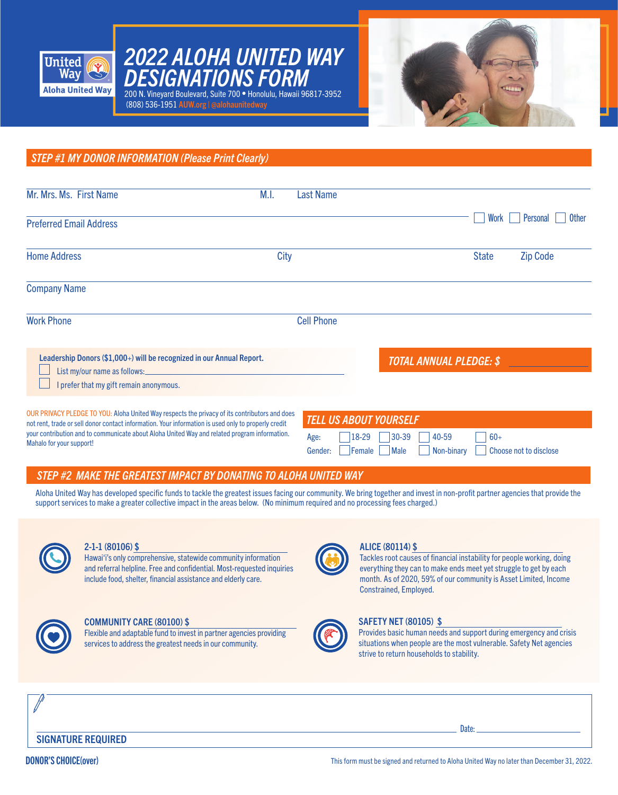

*DESIGNATIONS FORM* 200 N. Vineyard Boulevard, Suite 700 • Honolulu, Hawaii 96817-3952 (808) 536-1951 AUW.org | @alohaunitedway

*2022 ALOHA UNITED WAY* 



*STEP #1 MY DONOR INFORMATION (Please Print Clearly)*

| Mr. Mrs. Ms. First Name                                                                                                                                                                                                             | M.I. | Last Name                |                                |              |                          |
|-------------------------------------------------------------------------------------------------------------------------------------------------------------------------------------------------------------------------------------|------|--------------------------|--------------------------------|--------------|--------------------------|
| <b>Preferred Email Address</b>                                                                                                                                                                                                      |      |                          |                                | Work         | <b>Other</b><br>Personal |
| <b>Home Address</b>                                                                                                                                                                                                                 | City |                          |                                | <b>State</b> | <b>Zip Code</b>          |
| <b>Company Name</b>                                                                                                                                                                                                                 |      |                          |                                |              |                          |
| <b>Work Phone</b>                                                                                                                                                                                                                   |      | <b>Cell Phone</b>        |                                |              |                          |
| Leadership Donors (\$1,000+) will be recognized in our Annual Report.<br>List my/our name as follows: 1999 and 1999 and 1999 and 1999 and 1999 and 1999 and 1999 and 1999 and 1999 and 1<br>I prefer that my gift remain anonymous. |      |                          | <b>TOTAL ANNUAL PLEDGE: \$</b> |              |                          |
| OUR PRIVACY PLEDGE TO YOU: Aloha United Way respects the privacy of its contributors and does<br>and and the district deal of the contract information. More information is reach and change and contract the                       |      | TELL LIS AROLIT YOURSELF |                                |              |                          |

not rent, trade or sell donor contact information. Your information is used only to properly credit your contribution and to communicate about Aloha United Way and related program information. Mahalo for your support!

| TELL US ABOUT YOURSELF |                            |                                                       |
|------------------------|----------------------------|-------------------------------------------------------|
|                        | Age: 18-29 30-39 40-59 60+ |                                                       |
|                        |                            | Gender: Female Male Non-binary Choose not to disclose |

## *STEP #2 MAKE THE GREATEST IMPACT BY DONATING TO ALOHA UNITED WAY*

Aloha United Way has developed specific funds to tackle the greatest issues facing our community. We bring together and invest in non-profit partner agencies that provide the support services to make a greater collective impact in the areas below. (No minimum required and no processing fees charged.)



#### 2-1-1 (80106) \$

Hawai'i's only comprehensive, statewide community information and referral helpline. Free and confidential. Most-requested inquiries include food, shelter, financial assistance and elderly care.



#### COMMUNITY CARE (80100) \$

Flexible and adaptable fund to invest in partner agencies providing services to address the greatest needs in our community.



#### ALICE (80114) \$

Tackles root causes of financial instability for people working, doing everything they can to make ends meet yet struggle to get by each month. As of 2020, 59% of our community is Asset Limited, Income Constrained, Employed.



### SAFETY NET (80105) \$

Provides basic human needs and support during emergency and crisis situations when people are the most vulnerable. Safety Net agencies strive to return households to stability.

SIGNATURE REQUIRED

Date: